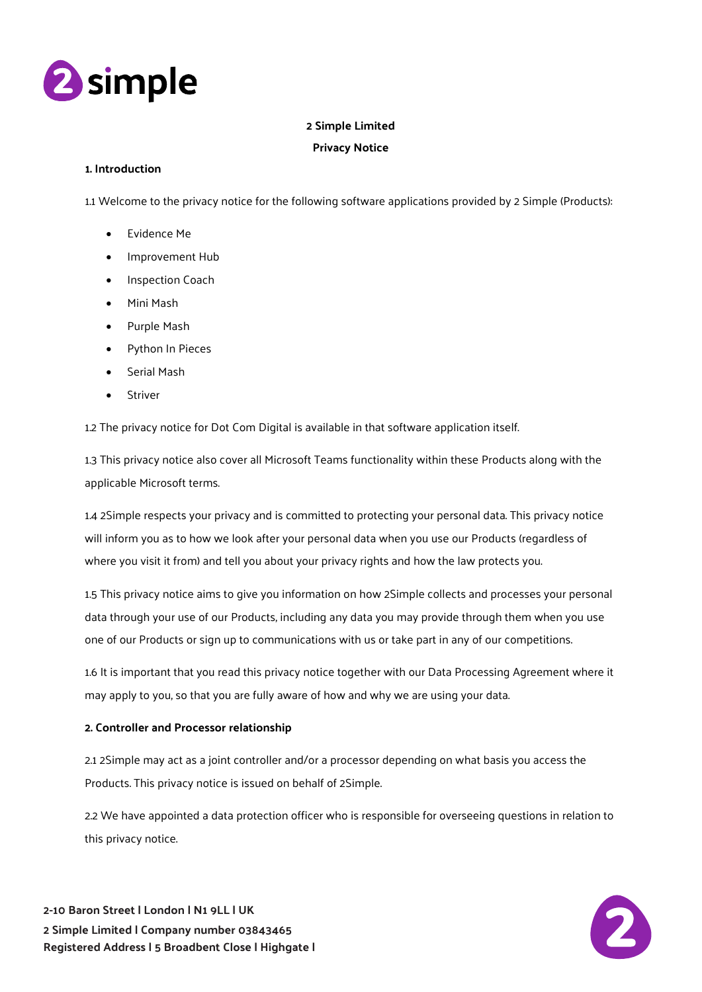

# **2 Simple Limited**

# **Privacy Notice**

## **1. Introduction**

1.1 Welcome to the privacy notice for the following software applications provided by 2 Simple (Products):

- Evidence Me
- Improvement Hub
- Inspection Coach
- Mini Mash
- Purple Mash
- Python In Pieces
- Serial Mash
- Striver

1.2 The privacy notice for Dot Com Digital is available in that software application itself.

1.3 This privacy notice also cover all Microsoft Teams functionality within these Products along with the applicable Microsoft terms.

1.4 2Simple respects your privacy and is committed to protecting your personal data. This privacy notice will inform you as to how we look after your personal data when you use our Products (regardless of where you visit it from) and tell you about your privacy rights and how the law protects you.

1.5 This privacy notice aims to give you information on how 2Simple collects and processes your personal data through your use of our Products, including any data you may provide through them when you use one of our Products or sign up to communications with us or take part in any of our competitions.

1.6 It is important that you read this privacy notice together with our Data Processing Agreement where it may apply to you, so that you are fully aware of how and why we are using your data.

## **2. Controller and Processor relationship**

2.1 2Simple may act as a joint controller and/or a processor depending on what basis you access the Products. This privacy notice is issued on behalf of 2Simple.

2.2 We have appointed a data protection officer who is responsible for overseeing questions in relation to this privacy notice.

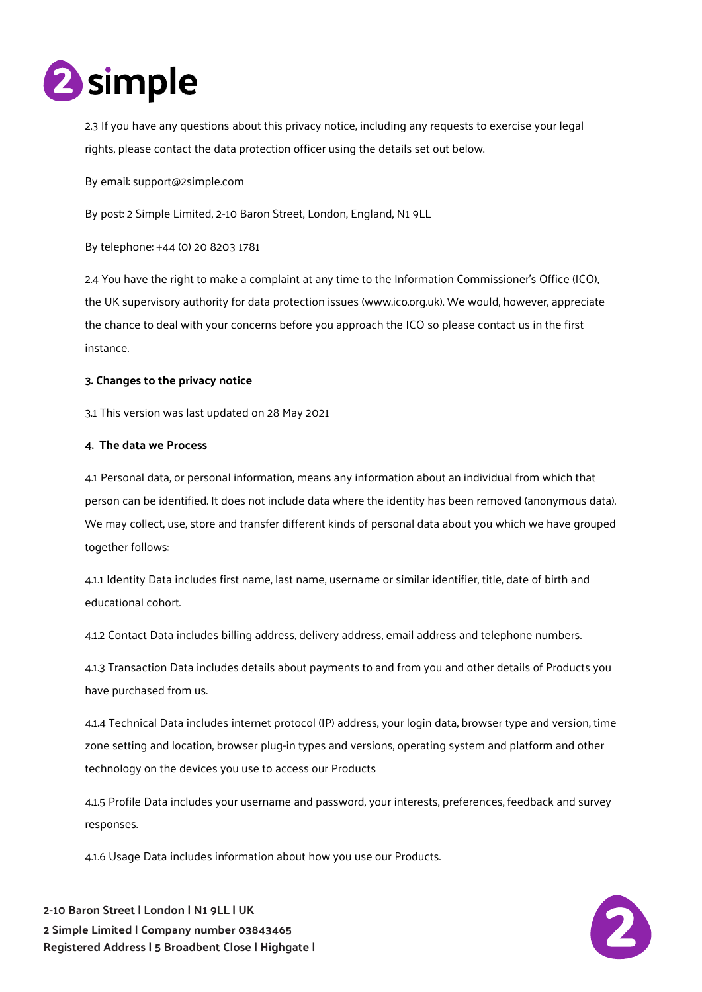

2.3 If you have any questions about this privacy notice, including any requests to exercise your legal rights, please contact the data protection officer using the details set out below.

By email: support@2simple.com

By post: 2 Simple Limited, 2-10 Baron Street, London, England, N1 9LL

By telephone: +44 (0) 20 8203 1781

2.4 You have the right to make a complaint at any time to the Information Commissioner's Office (ICO), the UK supervisory authority for data protection issues (www.ico.org.uk). We would, however, appreciate the chance to deal with your concerns before you approach the ICO so please contact us in the first instance.

## **3. Changes to the privacy notice**

3.1 This version was last updated on 28 May 2021

### **4. The data we Process**

4.1 Personal data, or personal information, means any information about an individual from which that person can be identified. It does not include data where the identity has been removed (anonymous data). We may collect, use, store and transfer different kinds of personal data about you which we have grouped together follows:

4.1.1 Identity Data includes first name, last name, username or similar identifier, title, date of birth and educational cohort.

4.1.2 Contact Data includes billing address, delivery address, email address and telephone numbers.

4.1.3 Transaction Data includes details about payments to and from you and other details of Products you have purchased from us.

4.1.4 Technical Data includes internet protocol (IP) address, your login data, browser type and version, time zone setting and location, browser plug-in types and versions, operating system and platform and other technology on the devices you use to access our Products

4.1.5 Profile Data includes your username and password, your interests, preferences, feedback and survey responses.

4.1.6 Usage Data includes information about how you use our Products.



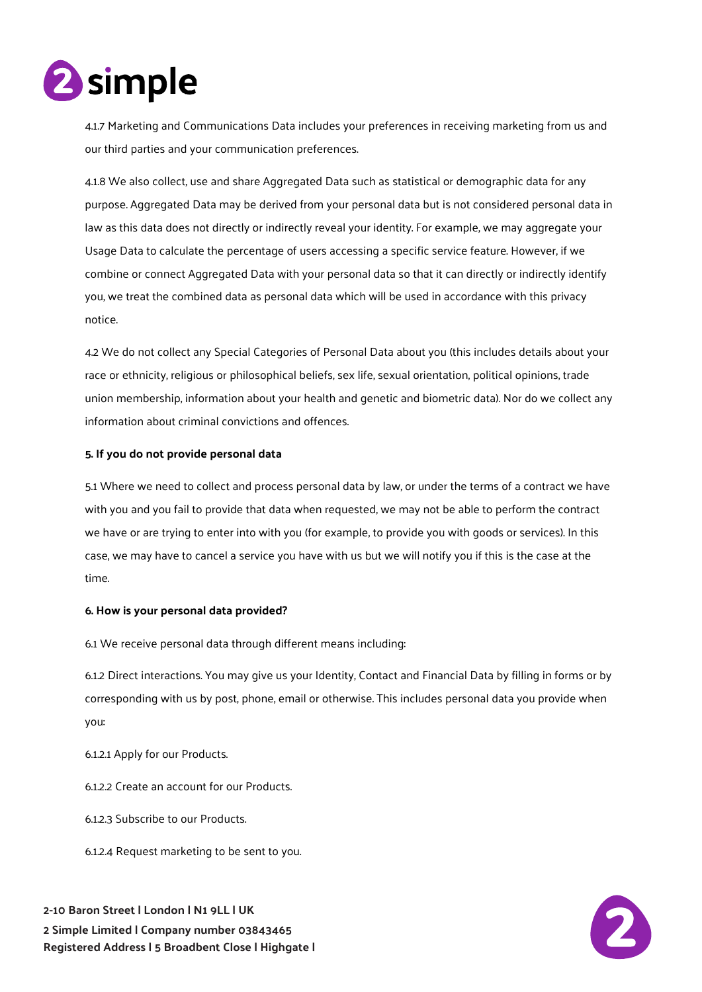

4.1.7 Marketing and Communications Data includes your preferences in receiving marketing from us and our third parties and your communication preferences.

4.1.8 We also collect, use and share Aggregated Data such as statistical or demographic data for any purpose. Aggregated Data may be derived from your personal data but is not considered personal data in law as this data does not directly or indirectly reveal your identity. For example, we may aggregate your Usage Data to calculate the percentage of users accessing a specific service feature. However, if we combine or connect Aggregated Data with your personal data so that it can directly or indirectly identify you, we treat the combined data as personal data which will be used in accordance with this privacy notice.

4.2 We do not collect any Special Categories of Personal Data about you (this includes details about your race or ethnicity, religious or philosophical beliefs, sex life, sexual orientation, political opinions, trade union membership, information about your health and genetic and biometric data). Nor do we collect any information about criminal convictions and offences.

## **5. If you do not provide personal data**

5.1 Where we need to collect and process personal data by law, or under the terms of a contract we have with you and you fail to provide that data when requested, we may not be able to perform the contract we have or are trying to enter into with you (for example, to provide you with goods or services). In this case, we may have to cancel a service you have with us but we will notify you if this is the case at the time.

### **6. How is your personal data provided?**

6.1 We receive personal data through different means including:

6.1.2 Direct interactions. You may give us your Identity, Contact and Financial Data by filling in forms or by corresponding with us by post, phone, email or otherwise. This includes personal data you provide when you:

6.1.2.1 Apply for our Products.

6.1.2.2 Create an account for our Products.

6.1.2.3 Subscribe to our Products.

6.1.2.4 Request marketing to be sent to you.

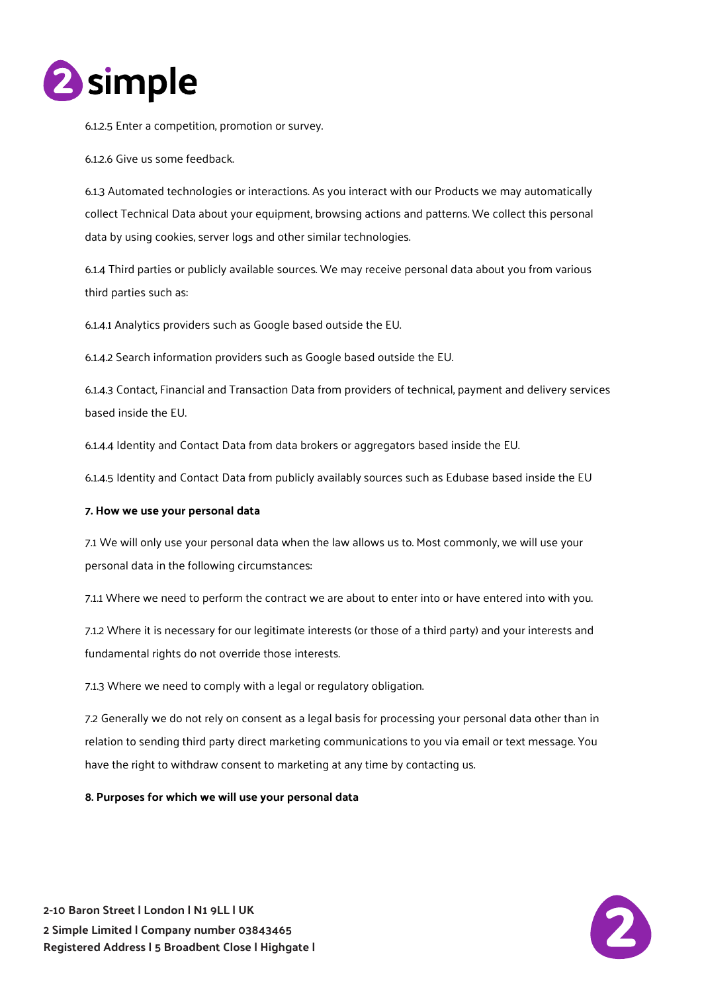

6.1.2.5 Enter a competition, promotion or survey.

6.1.2.6 Give us some feedback.

6.1.3 Automated technologies or interactions. As you interact with our Products we may automatically collect Technical Data about your equipment, browsing actions and patterns. We collect this personal data by using cookies, server logs and other similar technologies.

6.1.4 Third parties or publicly available sources. We may receive personal data about you from various third parties such as:

6.1.4.1 Analytics providers such as Google based outside the EU.

6.1.4.2 Search information providers such as Google based outside the EU.

6.1.4.3 Contact, Financial and Transaction Data from providers of technical, payment and delivery services based inside the EU.

6.1.4.4 Identity and Contact Data from data brokers or aggregators based inside the EU.

6.1.4.5 Identity and Contact Data from publicly availably sources such as Edubase based inside the EU

### **7. How we use your personal data**

7.1 We will only use your personal data when the law allows us to. Most commonly, we will use your personal data in the following circumstances:

7.1.1 Where we need to perform the contract we are about to enter into or have entered into with you.

7.1.2 Where it is necessary for our legitimate interests (or those of a third party) and your interests and fundamental rights do not override those interests.

7.1.3 Where we need to comply with a legal or regulatory obligation.

7.2 Generally we do not rely on consent as a legal basis for processing your personal data other than in relation to sending third party direct marketing communications to you via email or text message. You have the right to withdraw consent to marketing at any time by contacting us.

**8. Purposes for which we will use your personal data** 



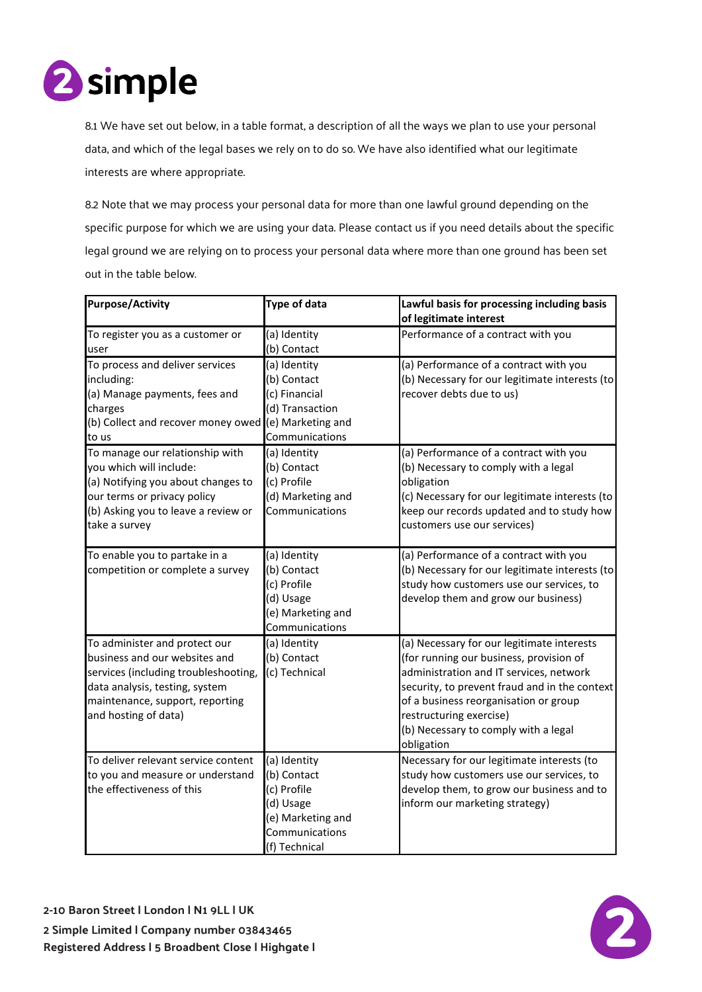

8.1 We have set out below, in a table format, a description of all the ways we plan to use your personal data, and which of the legal bases we rely on to do so. We have also identified what our legitimate interests are where appropriate.

8.2 Note that we may process your personal data for more than one lawful ground depending on the specific purpose for which we are using your data. Please contact us if you need details about the specific legal ground we are relying on to process your personal data where more than one ground has been set out in the table below.

| <b>Purpose/Activity</b>                                            | <b>Type of data</b>                 | Lawful basis for processing including basis                                                 |
|--------------------------------------------------------------------|-------------------------------------|---------------------------------------------------------------------------------------------|
|                                                                    |                                     | of legitimate interest                                                                      |
| To register you as a customer or                                   | (a) Identity                        | Performance of a contract with you                                                          |
| user                                                               | (b) Contact                         |                                                                                             |
| To process and deliver services<br>including:                      | (a) Identity<br>(b) Contact         | (a) Performance of a contract with you<br>(b) Necessary for our legitimate interests (to    |
| (a) Manage payments, fees and                                      | (c) Financial                       | recover debts due to us)                                                                    |
| charges                                                            | (d) Transaction                     |                                                                                             |
| (b) Collect and recover money owed (e) Marketing and               |                                     |                                                                                             |
| to us                                                              | Communications                      |                                                                                             |
| To manage our relationship with                                    | (a) Identity                        | (a) Performance of a contract with you                                                      |
| you which will include:                                            | (b) Contact                         | (b) Necessary to comply with a legal                                                        |
| (a) Notifying you about changes to                                 | (c) Profile                         | obligation                                                                                  |
| our terms or privacy policy<br>(b) Asking you to leave a review or | (d) Marketing and<br>Communications | (c) Necessary for our legitimate interests (to<br>keep our records updated and to study how |
| take a survey                                                      |                                     | customers use our services)                                                                 |
|                                                                    |                                     |                                                                                             |
| To enable you to partake in a                                      | (a) Identity                        | (a) Performance of a contract with you                                                      |
| competition or complete a survey                                   | (b) Contact                         | (b) Necessary for our legitimate interests (to                                              |
|                                                                    | (c) Profile                         | study how customers use our services, to                                                    |
|                                                                    | (d) Usage                           | develop them and grow our business)                                                         |
|                                                                    | (e) Marketing and                   |                                                                                             |
|                                                                    | Communications                      |                                                                                             |
| To administer and protect our                                      | (a) Identity                        | (a) Necessary for our legitimate interests                                                  |
| business and our websites and                                      | (b) Contact                         | (for running our business, provision of                                                     |
| services (including troubleshooting,                               | (c) Technical                       | administration and IT services, network                                                     |
| data analysis, testing, system                                     |                                     | security, to prevent fraud and in the context                                               |
| maintenance, support, reporting                                    |                                     | of a business reorganisation or group                                                       |
| and hosting of data)                                               |                                     | restructuring exercise)                                                                     |
|                                                                    |                                     | (b) Necessary to comply with a legal                                                        |
|                                                                    |                                     | obligation                                                                                  |
| To deliver relevant service content                                | (a) Identity                        | Necessary for our legitimate interests (to                                                  |
| to you and measure or understand                                   | (b) Contact                         | study how customers use our services, to                                                    |
| the effectiveness of this                                          | (c) Profile                         | develop them, to grow our business and to                                                   |
|                                                                    | (d) Usage                           | inform our marketing strategy)                                                              |
|                                                                    | (e) Marketing and<br>Communications |                                                                                             |
|                                                                    | (f) Technical                       |                                                                                             |
|                                                                    |                                     |                                                                                             |

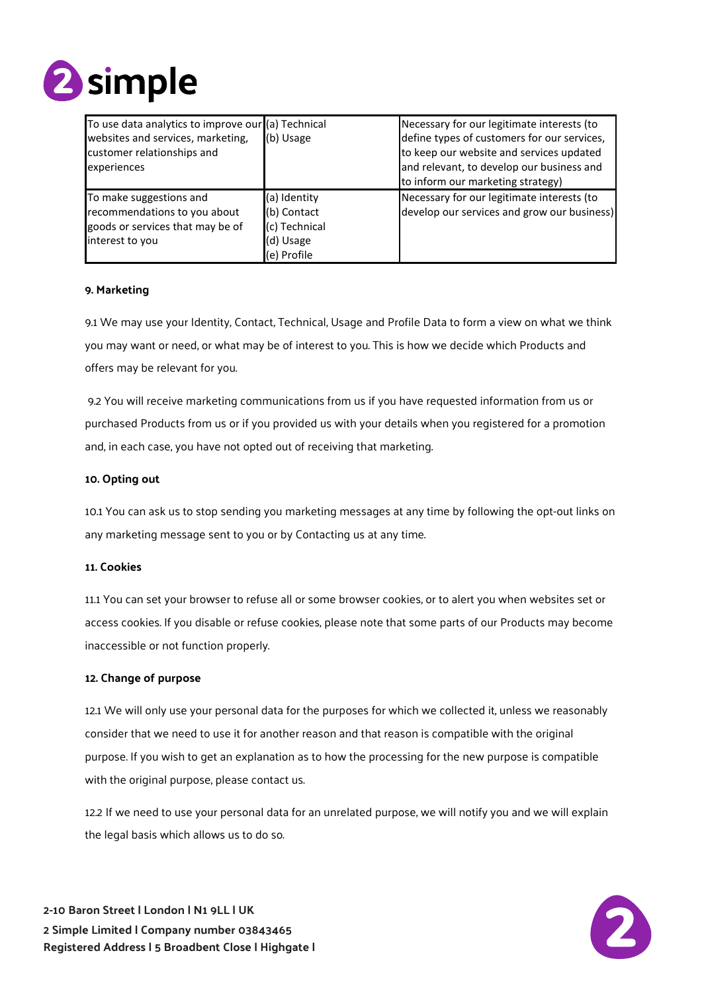

| To use data analytics to improve our (a) Technical<br>websites and services, marketing,<br>customer relationships and<br>experiences | (b) Usage                                                                | Necessary for our legitimate interests (to<br>define types of customers for our services,<br>to keep our website and services updated<br>and relevant, to develop our business and<br>to inform our marketing strategy) |
|--------------------------------------------------------------------------------------------------------------------------------------|--------------------------------------------------------------------------|-------------------------------------------------------------------------------------------------------------------------------------------------------------------------------------------------------------------------|
| To make suggestions and<br>recommendations to you about<br>goods or services that may be of<br>interest to you                       | (a) Identity<br>(b) Contact<br>(c) Technical<br>(d) Usage<br>(e) Profile | Necessary for our legitimate interests (to<br>develop our services and grow our business)                                                                                                                               |

## **9. Marketing**

9.1 We may use your Identity, Contact, Technical, Usage and Profile Data to form a view on what we think you may want or need, or what may be of interest to you. This is how we decide which Products and offers may be relevant for you.

9.2 You will receive marketing communications from us if you have requested information from us or purchased Products from us or if you provided us with your details when you registered for a promotion and, in each case, you have not opted out of receiving that marketing.

### **10. Opting out**

10.1 You can ask us to stop sending you marketing messages at any time by following the opt-out links on any marketing message sent to you or by Contacting us at any time.

## **11. Cookies**

11.1 You can set your browser to refuse all or some browser cookies, or to alert you when websites set or access cookies. If you disable or refuse cookies, please note that some parts of our Products may become inaccessible or not function properly.

### **12. Change of purpose**

12.1 We will only use your personal data for the purposes for which we collected it, unless we reasonably consider that we need to use it for another reason and that reason is compatible with the original purpose. If you wish to get an explanation as to how the processing for the new purpose is compatible with the original purpose, please contact us.

12.2 If we need to use your personal data for an unrelated purpose, we will notify you and we will explain the legal basis which allows us to do so.

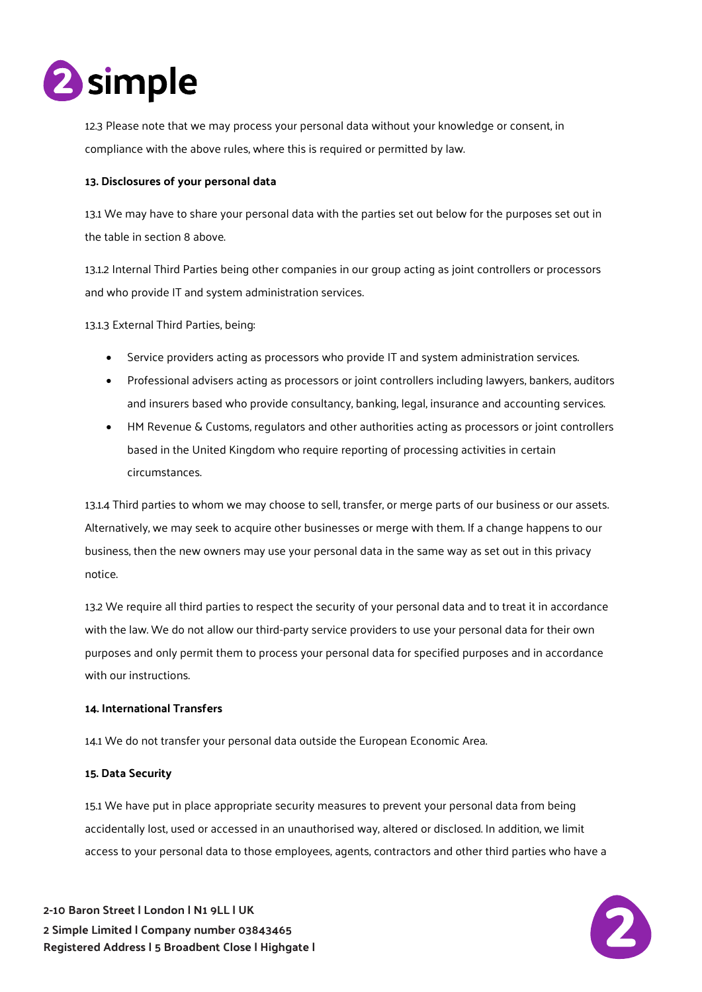

12.3 Please note that we may process your personal data without your knowledge or consent, in compliance with the above rules, where this is required or permitted by law.

## **13. Disclosures of your personal data**

13.1 We may have to share your personal data with the parties set out below for the purposes set out in the table in section 8 above.

13.1.2 Internal Third Parties being other companies in our group acting as joint controllers or processors and who provide IT and system administration services.

13.1.3 External Third Parties, being:

- Service providers acting as processors who provide IT and system administration services.
- Professional advisers acting as processors or joint controllers including lawyers, bankers, auditors and insurers based who provide consultancy, banking, legal, insurance and accounting services.
- HM Revenue & Customs, regulators and other authorities acting as processors or joint controllers based in the United Kingdom who require reporting of processing activities in certain circumstances.

13.1.4 Third parties to whom we may choose to sell, transfer, or merge parts of our business or our assets. Alternatively, we may seek to acquire other businesses or merge with them. If a change happens to our business, then the new owners may use your personal data in the same way as set out in this privacy notice.

13.2 We require all third parties to respect the security of your personal data and to treat it in accordance with the law. We do not allow our third-party service providers to use your personal data for their own purposes and only permit them to process your personal data for specified purposes and in accordance with our instructions.

### **14. International Transfers**

14.1 We do not transfer your personal data outside the European Economic Area.

## **15. Data Security**

15.1 We have put in place appropriate security measures to prevent your personal data from being accidentally lost, used or accessed in an unauthorised way, altered or disclosed. In addition, we limit access to your personal data to those employees, agents, contractors and other third parties who have a

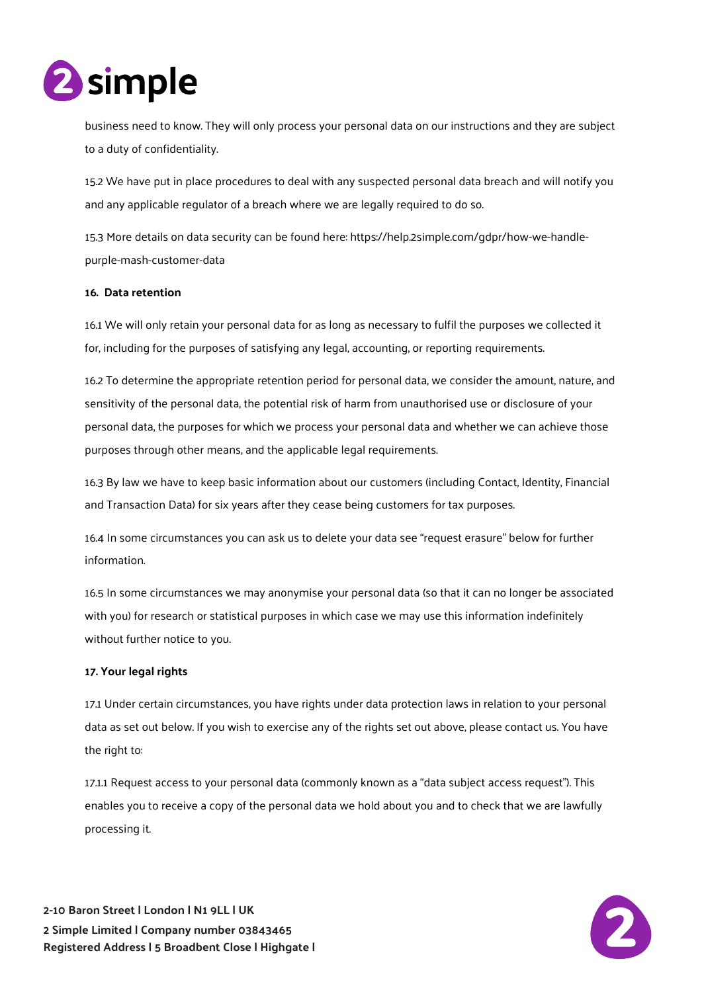

business need to know. They will only process your personal data on our instructions and they are subject to a duty of confidentiality.

15.2 We have put in place procedures to deal with any suspected personal data breach and will notify you and any applicable regulator of a breach where we are legally required to do so.

15.3 More details on data security can be found here: https://help.2simple.com/gdpr/how-we-handlepurple-mash-customer-data

## **16. Data retention**

16.1 We will only retain your personal data for as long as necessary to fulfil the purposes we collected it for, including for the purposes of satisfying any legal, accounting, or reporting requirements.

16.2 To determine the appropriate retention period for personal data, we consider the amount, nature, and sensitivity of the personal data, the potential risk of harm from unauthorised use or disclosure of your personal data, the purposes for which we process your personal data and whether we can achieve those purposes through other means, and the applicable legal requirements.

16.3 By law we have to keep basic information about our customers (including Contact, Identity, Financial and Transaction Data) for six years after they cease being customers for tax purposes.

16.4 In some circumstances you can ask us to delete your data see "request erasure" below for further information.

16.5 In some circumstances we may anonymise your personal data (so that it can no longer be associated with you) for research or statistical purposes in which case we may use this information indefinitely without further notice to you.

### **17. Your legal rights**

17.1 Under certain circumstances, you have rights under data protection laws in relation to your personal data as set out below. If you wish to exercise any of the rights set out above, please contact us. You have the right to:

17.1.1 Request access to your personal data (commonly known as a "data subject access request"). This enables you to receive a copy of the personal data we hold about you and to check that we are lawfully processing it.

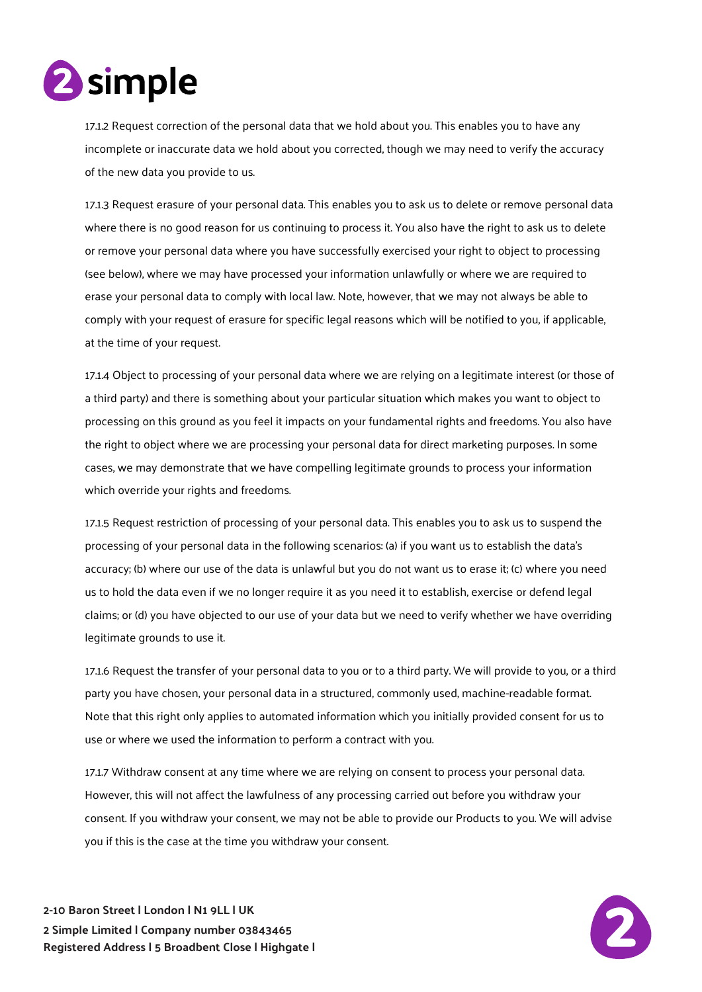

17.1.2 Request correction of the personal data that we hold about you. This enables you to have any incomplete or inaccurate data we hold about you corrected, though we may need to verify the accuracy of the new data you provide to us.

17.1.3 Request erasure of your personal data. This enables you to ask us to delete or remove personal data where there is no good reason for us continuing to process it. You also have the right to ask us to delete or remove your personal data where you have successfully exercised your right to object to processing (see below), where we may have processed your information unlawfully or where we are required to erase your personal data to comply with local law. Note, however, that we may not always be able to comply with your request of erasure for specific legal reasons which will be notified to you, if applicable, at the time of your request.

17.1.4 Object to processing of your personal data where we are relying on a legitimate interest (or those of a third party) and there is something about your particular situation which makes you want to object to processing on this ground as you feel it impacts on your fundamental rights and freedoms. You also have the right to object where we are processing your personal data for direct marketing purposes. In some cases, we may demonstrate that we have compelling legitimate grounds to process your information which override your rights and freedoms.

17.1.5 Request restriction of processing of your personal data. This enables you to ask us to suspend the processing of your personal data in the following scenarios: (a) if you want us to establish the data's accuracy; (b) where our use of the data is unlawful but you do not want us to erase it; (c) where you need us to hold the data even if we no longer require it as you need it to establish, exercise or defend legal claims; or (d) you have objected to our use of your data but we need to verify whether we have overriding legitimate grounds to use it.

17.1.6 Request the transfer of your personal data to you or to a third party. We will provide to you, or a third party you have chosen, your personal data in a structured, commonly used, machine-readable format. Note that this right only applies to automated information which you initially provided consent for us to use or where we used the information to perform a contract with you.

17.1.7 Withdraw consent at any time where we are relying on consent to process your personal data. However, this will not affect the lawfulness of any processing carried out before you withdraw your consent. If you withdraw your consent, we may not be able to provide our Products to you. We will advise you if this is the case at the time you withdraw your consent.